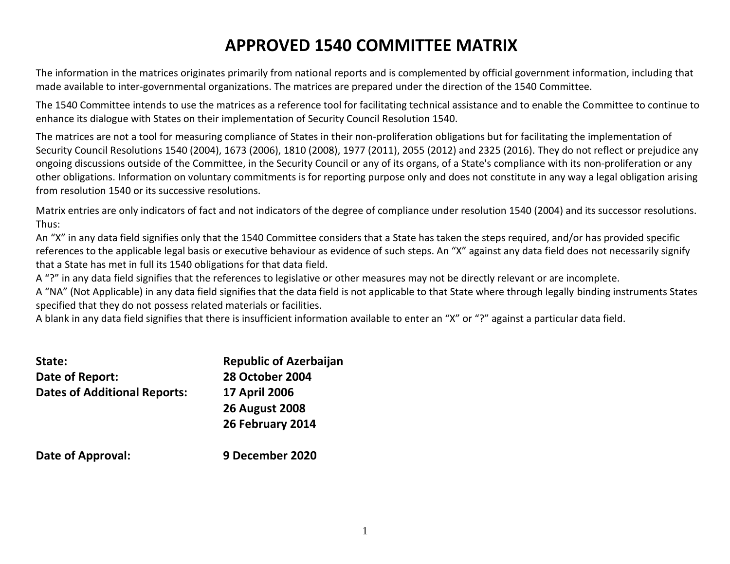# **APPROVED 1540 COMMITTEE MATRIX**

The information in the matrices originates primarily from national reports and is complemented by official government information, including that made available to inter-governmental organizations. The matrices are prepared under the direction of the 1540 Committee.

The 1540 Committee intends to use the matrices as a reference tool for facilitating technical assistance and to enable the Committee to continue to enhance its dialogue with States on their implementation of Security Council Resolution 1540.

The matrices are not a tool for measuring compliance of States in their non-proliferation obligations but for facilitating the implementation of Security Council Resolutions 1540 (2004), 1673 (2006), 1810 (2008), 1977 (2011), 2055 (2012) and 2325 (2016). They do not reflect or prejudice any ongoing discussions outside of the Committee, in the Security Council or any of its organs, of a State's compliance with its non-proliferation or any other obligations. Information on voluntary commitments is for reporting purpose only and does not constitute in any way a legal obligation arising from resolution 1540 or its successive resolutions.

Matrix entries are only indicators of fact and not indicators of the degree of compliance under resolution 1540 (2004) and its successor resolutions. Thus:

An "X" in any data field signifies only that the 1540 Committee considers that a State has taken the steps required, and/or has provided specific references to the applicable legal basis or executive behaviour as evidence of such steps. An "X" against any data field does not necessarily signify that a State has met in full its 1540 obligations for that data field.

A "?" in any data field signifies that the references to legislative or other measures may not be directly relevant or are incomplete.

A "NA" (Not Applicable) in any data field signifies that the data field is not applicable to that State where through legally binding instruments States specified that they do not possess related materials or facilities.

A blank in any data field signifies that there is insufficient information available to enter an "X" or "?" against a particular data field.

| State:                              | <b>Republic of Azerbaijan</b> |
|-------------------------------------|-------------------------------|
| Date of Report:                     | <b>28 October 2004</b>        |
| <b>Dates of Additional Reports:</b> | <b>17 April 2006</b>          |
|                                     | <b>26 August 2008</b>         |
|                                     | 26 February 2014              |
| Date of Approval:                   | 9 December 2020               |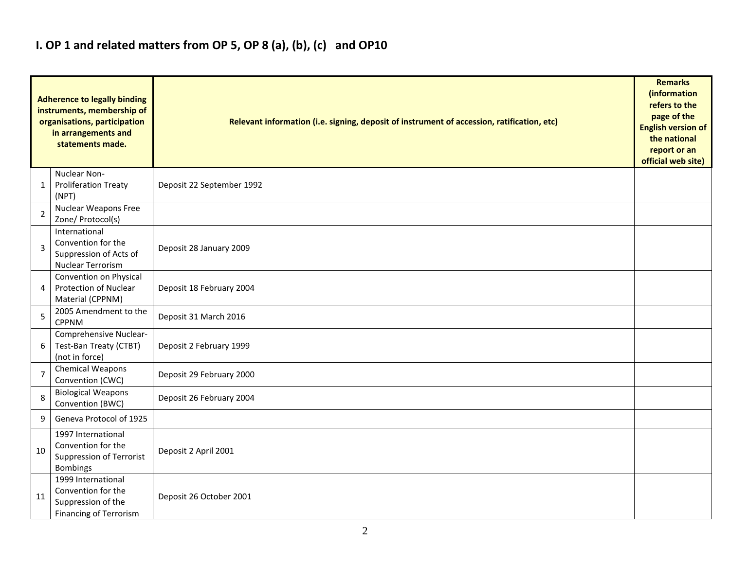## **I. OP 1 and related matters from OP 5, OP 8 (a), (b), (c) and OP10**

|                | <b>Adherence to legally binding</b><br>instruments, membership of<br>organisations, participation<br>in arrangements and<br>statements made. | Relevant information (i.e. signing, deposit of instrument of accession, ratification, etc) |  |  |  |  |  |  |  |  |  |
|----------------|----------------------------------------------------------------------------------------------------------------------------------------------|--------------------------------------------------------------------------------------------|--|--|--|--|--|--|--|--|--|
| 1              | Nuclear Non-<br><b>Proliferation Treaty</b><br>(NPT)                                                                                         | Deposit 22 September 1992                                                                  |  |  |  |  |  |  |  |  |  |
| $\overline{2}$ | <b>Nuclear Weapons Free</b><br>Zone/ Protocol(s)                                                                                             |                                                                                            |  |  |  |  |  |  |  |  |  |
| 3              | International<br>Convention for the<br>Suppression of Acts of<br><b>Nuclear Terrorism</b>                                                    | Deposit 28 January 2009                                                                    |  |  |  |  |  |  |  |  |  |
| 4              | Convention on Physical<br>Protection of Nuclear<br>Material (CPPNM)                                                                          | Deposit 18 February 2004                                                                   |  |  |  |  |  |  |  |  |  |
| 5              | 2005 Amendment to the<br><b>CPPNM</b>                                                                                                        | Deposit 31 March 2016                                                                      |  |  |  |  |  |  |  |  |  |
| 6              | Comprehensive Nuclear-<br>Test-Ban Treaty (CTBT)<br>(not in force)                                                                           | Deposit 2 February 1999                                                                    |  |  |  |  |  |  |  |  |  |
| 7              | <b>Chemical Weapons</b><br>Convention (CWC)                                                                                                  | Deposit 29 February 2000                                                                   |  |  |  |  |  |  |  |  |  |
| 8              | <b>Biological Weapons</b><br>Convention (BWC)                                                                                                | Deposit 26 February 2004                                                                   |  |  |  |  |  |  |  |  |  |
| 9              | Geneva Protocol of 1925                                                                                                                      |                                                                                            |  |  |  |  |  |  |  |  |  |
| 10             | 1997 International<br>Convention for the<br>Suppression of Terrorist<br><b>Bombings</b>                                                      | Deposit 2 April 2001                                                                       |  |  |  |  |  |  |  |  |  |
| 11             | 1999 International<br>Convention for the<br>Suppression of the<br><b>Financing of Terrorism</b>                                              | Deposit 26 October 2001                                                                    |  |  |  |  |  |  |  |  |  |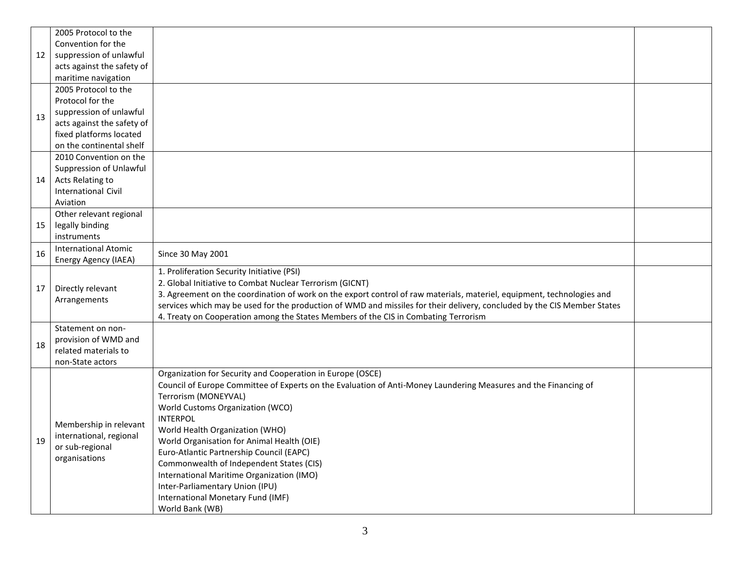|    | 2005 Protocol to the        |                                                                                                                                                                                                                                                    |  |  |  |  |  |  |  |
|----|-----------------------------|----------------------------------------------------------------------------------------------------------------------------------------------------------------------------------------------------------------------------------------------------|--|--|--|--|--|--|--|
|    | Convention for the          |                                                                                                                                                                                                                                                    |  |  |  |  |  |  |  |
| 12 | suppression of unlawful     |                                                                                                                                                                                                                                                    |  |  |  |  |  |  |  |
|    | acts against the safety of  |                                                                                                                                                                                                                                                    |  |  |  |  |  |  |  |
|    | maritime navigation         |                                                                                                                                                                                                                                                    |  |  |  |  |  |  |  |
|    | 2005 Protocol to the        |                                                                                                                                                                                                                                                    |  |  |  |  |  |  |  |
|    | Protocol for the            |                                                                                                                                                                                                                                                    |  |  |  |  |  |  |  |
| 13 | suppression of unlawful     |                                                                                                                                                                                                                                                    |  |  |  |  |  |  |  |
|    | acts against the safety of  |                                                                                                                                                                                                                                                    |  |  |  |  |  |  |  |
|    | fixed platforms located     |                                                                                                                                                                                                                                                    |  |  |  |  |  |  |  |
|    | on the continental shelf    |                                                                                                                                                                                                                                                    |  |  |  |  |  |  |  |
|    | 2010 Convention on the      |                                                                                                                                                                                                                                                    |  |  |  |  |  |  |  |
|    | Suppression of Unlawful     |                                                                                                                                                                                                                                                    |  |  |  |  |  |  |  |
| 14 | Acts Relating to            |                                                                                                                                                                                                                                                    |  |  |  |  |  |  |  |
|    | <b>International Civil</b>  |                                                                                                                                                                                                                                                    |  |  |  |  |  |  |  |
|    | Aviation                    |                                                                                                                                                                                                                                                    |  |  |  |  |  |  |  |
|    | Other relevant regional     |                                                                                                                                                                                                                                                    |  |  |  |  |  |  |  |
| 15 | legally binding             |                                                                                                                                                                                                                                                    |  |  |  |  |  |  |  |
|    | instruments                 |                                                                                                                                                                                                                                                    |  |  |  |  |  |  |  |
| 16 | <b>International Atomic</b> | Since 30 May 2001                                                                                                                                                                                                                                  |  |  |  |  |  |  |  |
|    | Energy Agency (IAEA)        |                                                                                                                                                                                                                                                    |  |  |  |  |  |  |  |
|    |                             | 1. Proliferation Security Initiative (PSI)                                                                                                                                                                                                         |  |  |  |  |  |  |  |
| 17 | Directly relevant           | 2. Global Initiative to Combat Nuclear Terrorism (GICNT)                                                                                                                                                                                           |  |  |  |  |  |  |  |
|    | Arrangements                | 3. Agreement on the coordination of work on the export control of raw materials, materiel, equipment, technologies and<br>services which may be used for the production of WMD and missiles for their delivery, concluded by the CIS Member States |  |  |  |  |  |  |  |
|    |                             | 4. Treaty on Cooperation among the States Members of the CIS in Combating Terrorism                                                                                                                                                                |  |  |  |  |  |  |  |
|    | Statement on non-           |                                                                                                                                                                                                                                                    |  |  |  |  |  |  |  |
|    | provision of WMD and        |                                                                                                                                                                                                                                                    |  |  |  |  |  |  |  |
| 18 | related materials to        |                                                                                                                                                                                                                                                    |  |  |  |  |  |  |  |
|    | non-State actors            |                                                                                                                                                                                                                                                    |  |  |  |  |  |  |  |
|    |                             | Organization for Security and Cooperation in Europe (OSCE)                                                                                                                                                                                         |  |  |  |  |  |  |  |
|    |                             | Council of Europe Committee of Experts on the Evaluation of Anti-Money Laundering Measures and the Financing of                                                                                                                                    |  |  |  |  |  |  |  |
|    |                             | Terrorism (MONEYVAL)                                                                                                                                                                                                                               |  |  |  |  |  |  |  |
|    |                             | World Customs Organization (WCO)                                                                                                                                                                                                                   |  |  |  |  |  |  |  |
|    |                             | <b>INTERPOL</b>                                                                                                                                                                                                                                    |  |  |  |  |  |  |  |
|    | Membership in relevant      | World Health Organization (WHO)                                                                                                                                                                                                                    |  |  |  |  |  |  |  |
| 19 | international, regional     | World Organisation for Animal Health (OIE)                                                                                                                                                                                                         |  |  |  |  |  |  |  |
|    | or sub-regional             | Euro-Atlantic Partnership Council (EAPC)                                                                                                                                                                                                           |  |  |  |  |  |  |  |
|    | organisations               | Commonwealth of Independent States (CIS)                                                                                                                                                                                                           |  |  |  |  |  |  |  |
|    |                             | International Maritime Organization (IMO)                                                                                                                                                                                                          |  |  |  |  |  |  |  |
|    |                             | Inter-Parliamentary Union (IPU)                                                                                                                                                                                                                    |  |  |  |  |  |  |  |
|    |                             | International Monetary Fund (IMF)                                                                                                                                                                                                                  |  |  |  |  |  |  |  |
|    |                             | World Bank (WB)                                                                                                                                                                                                                                    |  |  |  |  |  |  |  |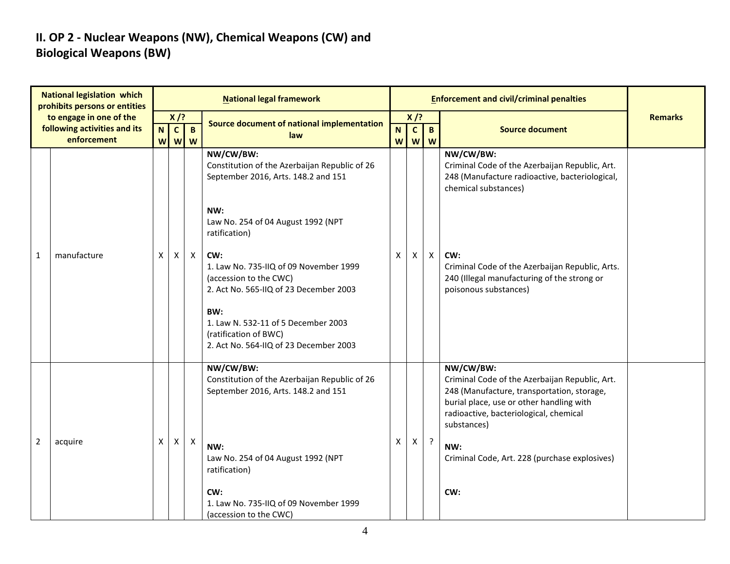### **II. OP 2 - Nuclear Weapons (NW), Chemical Weapons (CW) and Biological Weapons (BW)**

| <b>National legislation which</b><br>prohibits persons or entities<br>to engage in one of the<br>following activities and its |             |                         |                        |                           | <b>National legal framework</b>                                                                                   |        |                  | <b>Enforcement and civil/criminal penalties</b> |                                                                                                                                                                                                                |                |
|-------------------------------------------------------------------------------------------------------------------------------|-------------|-------------------------|------------------------|---------------------------|-------------------------------------------------------------------------------------------------------------------|--------|------------------|-------------------------------------------------|----------------------------------------------------------------------------------------------------------------------------------------------------------------------------------------------------------------|----------------|
|                                                                                                                               |             | $X$ /?                  |                        |                           | Source document of national implementation                                                                        | $X$ /? |                  |                                                 |                                                                                                                                                                                                                | <b>Remarks</b> |
|                                                                                                                               | enforcement | $\overline{\mathsf{N}}$ | $\mathbf{C}$<br>W<br>W | $\mathbf B$<br>W          | law                                                                                                               | N<br>W | $\mathbf c$<br>W | $\mathbf{B}$<br>W                               | <b>Source document</b>                                                                                                                                                                                         |                |
|                                                                                                                               |             |                         |                        |                           | NW/CW/BW:<br>Constitution of the Azerbaijan Republic of 26<br>September 2016, Arts. 148.2 and 151                 |        |                  |                                                 | NW/CW/BW:<br>Criminal Code of the Azerbaijan Republic, Art.<br>248 (Manufacture radioactive, bacteriological,<br>chemical substances)                                                                          |                |
|                                                                                                                               | manufacture |                         |                        | $\boldsymbol{X}$          | NW:<br>Law No. 254 of 04 August 1992 (NPT<br>ratification)                                                        | Χ      |                  |                                                 |                                                                                                                                                                                                                |                |
| $\mathbf{1}$                                                                                                                  |             | X                       | X                      |                           | CW:<br>1. Law No. 735-IIQ of 09 November 1999<br>(accession to the CWC)<br>2. Act No. 565-IIQ of 23 December 2003 |        | X                | $\mathsf{X}$                                    | CW:<br>Criminal Code of the Azerbaijan Republic, Arts.<br>240 (Illegal manufacturing of the strong or<br>poisonous substances)                                                                                 |                |
|                                                                                                                               |             |                         |                        |                           | BW:<br>1. Law N. 532-11 of 5 December 2003<br>(ratification of BWC)<br>2. Act No. 564-IIQ of 23 December 2003     |        |                  |                                                 |                                                                                                                                                                                                                |                |
|                                                                                                                               |             |                         |                        |                           | NW/CW/BW:<br>Constitution of the Azerbaijan Republic of 26<br>September 2016, Arts. 148.2 and 151                 |        |                  |                                                 | NW/CW/BW:<br>Criminal Code of the Azerbaijan Republic, Art.<br>248 (Manufacture, transportation, storage,<br>burial place, use or other handling with<br>radioactive, bacteriological, chemical<br>substances) |                |
| $\overline{2}$                                                                                                                | acquire     | X                       | X                      | $\boldsymbol{\mathsf{X}}$ | NW:<br>Law No. 254 of 04 August 1992 (NPT<br>ratification)                                                        | X      | $\mathsf{X}$     | $\cdot$                                         | NW:<br>Criminal Code, Art. 228 (purchase explosives)                                                                                                                                                           |                |
|                                                                                                                               |             |                         |                        |                           | CW:<br>1. Law No. 735-IIQ of 09 November 1999<br>(accession to the CWC)                                           |        |                  |                                                 | CW:                                                                                                                                                                                                            |                |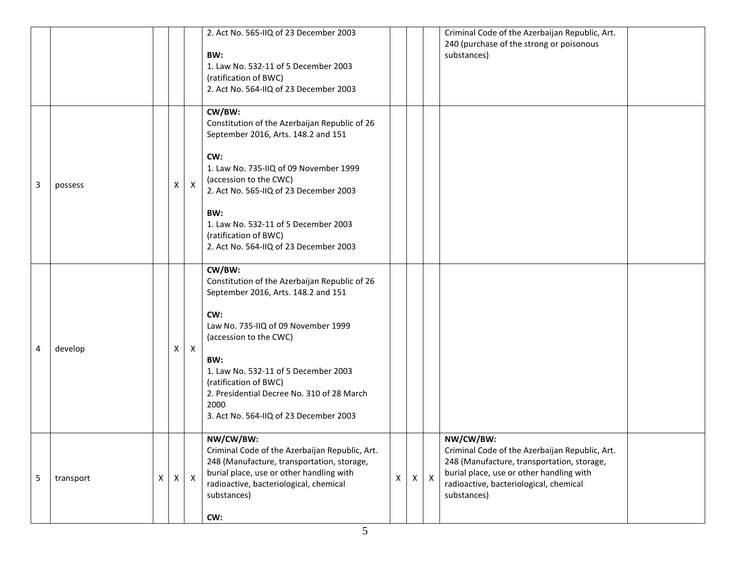|   |           |   |   |              | 2. Act No. 565-IIQ of 23 December 2003<br>BW:<br>1. Law No. 532-11 of 5 December 2003<br>(ratification of BWC)<br>2. Act No. 564-IIQ of 23 December 2003                                                                                                                                                                                       |   |   |              | Criminal Code of the Azerbaijan Republic, Art.<br>240 (purchase of the strong or poisonous<br>substances)                                                                                                      |  |
|---|-----------|---|---|--------------|------------------------------------------------------------------------------------------------------------------------------------------------------------------------------------------------------------------------------------------------------------------------------------------------------------------------------------------------|---|---|--------------|----------------------------------------------------------------------------------------------------------------------------------------------------------------------------------------------------------------|--|
| 3 | possess   |   | X | $\mathsf{X}$ | CW/BW:<br>Constitution of the Azerbaijan Republic of 26<br>September 2016, Arts. 148.2 and 151<br>CW:<br>1. Law No. 735-IIQ of 09 November 1999<br>(accession to the CWC)<br>2. Act No. 565-IIQ of 23 December 2003<br>BW:<br>1. Law No. 532-11 of 5 December 2003<br>(ratification of BWC)<br>2. Act No. 564-IIQ of 23 December 2003          |   |   |              |                                                                                                                                                                                                                |  |
| 4 | develop   |   | х | $\mathsf{X}$ | CW/BW:<br>Constitution of the Azerbaijan Republic of 26<br>September 2016, Arts. 148.2 and 151<br>CW:<br>Law No. 735-IIQ of 09 November 1999<br>(accession to the CWC)<br>BW:<br>1. Law No. 532-11 of 5 December 2003<br>(ratification of BWC)<br>2. Presidential Decree No. 310 of 28 March<br>2000<br>3. Act No. 564-IIQ of 23 December 2003 |   |   |              |                                                                                                                                                                                                                |  |
| 5 | transport | X | X | $\mathsf{X}$ | NW/CW/BW:<br>Criminal Code of the Azerbaijan Republic, Art.<br>248 (Manufacture, transportation, storage,<br>burial place, use or other handling with<br>radioactive, bacteriological, chemical<br>substances)<br>CW:                                                                                                                          | X | X | $\mathsf{X}$ | NW/CW/BW:<br>Criminal Code of the Azerbaijan Republic, Art.<br>248 (Manufacture, transportation, storage,<br>burial place, use or other handling with<br>radioactive, bacteriological, chemical<br>substances) |  |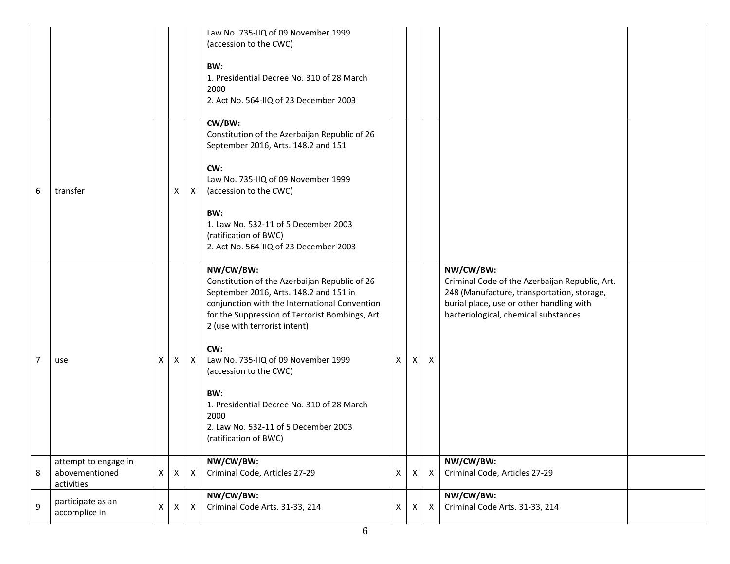|                  |                                                      |   |   |                  | Law No. 735-IIQ of 09 November 1999<br>(accession to the CWC)<br>BW:<br>1. Presidential Decree No. 310 of 28 March<br>2000<br>2. Act No. 564-IIQ of 23 December 2003                                                                                                                                                                                                                                                                            |   |   |                           |                                                                                                                                                                                               |  |
|------------------|------------------------------------------------------|---|---|------------------|-------------------------------------------------------------------------------------------------------------------------------------------------------------------------------------------------------------------------------------------------------------------------------------------------------------------------------------------------------------------------------------------------------------------------------------------------|---|---|---------------------------|-----------------------------------------------------------------------------------------------------------------------------------------------------------------------------------------------|--|
| 6                | transfer                                             |   | X | $\mathsf{X}$     | CW/BW:<br>Constitution of the Azerbaijan Republic of 26<br>September 2016, Arts. 148.2 and 151<br>CW:<br>Law No. 735-IIQ of 09 November 1999<br>(accession to the CWC)<br>BW:<br>1. Law No. 532-11 of 5 December 2003<br>(ratification of BWC)<br>2. Act No. 564-IIQ of 23 December 2003                                                                                                                                                        |   |   |                           |                                                                                                                                                                                               |  |
| $\overline{7}$   | use                                                  | Χ | X | X                | NW/CW/BW:<br>Constitution of the Azerbaijan Republic of 26<br>September 2016, Arts. 148.2 and 151 in<br>conjunction with the International Convention<br>for the Suppression of Terrorist Bombings, Art.<br>2 (use with terrorist intent)<br>CW:<br>Law No. 735-IIQ of 09 November 1999<br>(accession to the CWC)<br>BW:<br>1. Presidential Decree No. 310 of 28 March<br>2000<br>2. Law No. 532-11 of 5 December 2003<br>(ratification of BWC) | X | X | $\boldsymbol{\mathsf{X}}$ | NW/CW/BW:<br>Criminal Code of the Azerbaijan Republic, Art.<br>248 (Manufacture, transportation, storage,<br>burial place, use or other handling with<br>bacteriological, chemical substances |  |
| 8                | attempt to engage in<br>abovementioned<br>activities | X | X | $\mathsf{X}$     | NW/CW/BW:<br>Criminal Code, Articles 27-29                                                                                                                                                                                                                                                                                                                                                                                                      | X | X | $\boldsymbol{\mathsf{X}}$ | NW/CW/BW:<br>Criminal Code, Articles 27-29                                                                                                                                                    |  |
| $\boldsymbol{9}$ | participate as an<br>accomplice in                   | X | X | $\boldsymbol{X}$ | NW/CW/BW:<br>Criminal Code Arts. 31-33, 214                                                                                                                                                                                                                                                                                                                                                                                                     | X | X | $\boldsymbol{X}$          | NW/CW/BW:<br>Criminal Code Arts. 31-33, 214                                                                                                                                                   |  |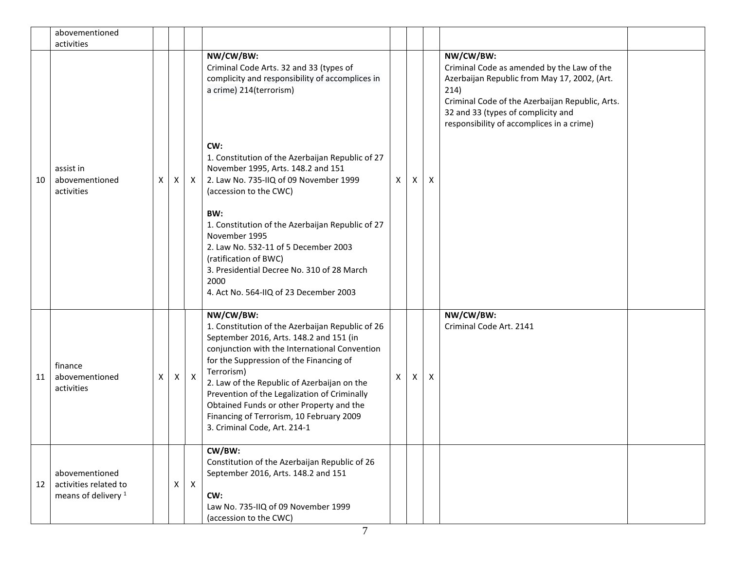|    | abovementioned<br>activities                                              |   |   |              |                                                                                                                                                                                                                                                                                                                                                                                                                                           |              |          |   |                                                                                                                                                                                                                                                       |
|----|---------------------------------------------------------------------------|---|---|--------------|-------------------------------------------------------------------------------------------------------------------------------------------------------------------------------------------------------------------------------------------------------------------------------------------------------------------------------------------------------------------------------------------------------------------------------------------|--------------|----------|---|-------------------------------------------------------------------------------------------------------------------------------------------------------------------------------------------------------------------------------------------------------|
|    |                                                                           |   |   |              | NW/CW/BW:<br>Criminal Code Arts. 32 and 33 (types of<br>complicity and responsibility of accomplices in<br>a crime) 214(terrorism)                                                                                                                                                                                                                                                                                                        |              |          |   | NW/CW/BW:<br>Criminal Code as amended by the Law of the<br>Azerbaijan Republic from May 17, 2002, (Art.<br>214)<br>Criminal Code of the Azerbaijan Republic, Arts.<br>32 and 33 (types of complicity and<br>responsibility of accomplices in a crime) |
| 10 | assist in<br>abovementioned<br>activities                                 | X | X | $\mathsf{X}$ | CW:<br>1. Constitution of the Azerbaijan Republic of 27<br>November 1995, Arts. 148.2 and 151<br>2. Law No. 735-IIQ of 09 November 1999<br>(accession to the CWC)                                                                                                                                                                                                                                                                         | $\mathsf{X}$ | $\times$ | X |                                                                                                                                                                                                                                                       |
|    |                                                                           |   |   |              | BW:<br>1. Constitution of the Azerbaijan Republic of 27<br>November 1995<br>2. Law No. 532-11 of 5 December 2003<br>(ratification of BWC)<br>3. Presidential Decree No. 310 of 28 March<br>2000<br>4. Act No. 564-IIQ of 23 December 2003                                                                                                                                                                                                 |              |          |   |                                                                                                                                                                                                                                                       |
| 11 | finance<br>abovementioned<br>activities                                   | X |   | $X \mid X$   | NW/CW/BW:<br>1. Constitution of the Azerbaijan Republic of 26<br>September 2016, Arts. 148.2 and 151 (in<br>conjunction with the International Convention<br>for the Suppression of the Financing of<br>Terrorism)<br>2. Law of the Republic of Azerbaijan on the<br>Prevention of the Legalization of Criminally<br>Obtained Funds or other Property and the<br>Financing of Terrorism, 10 February 2009<br>3. Criminal Code, Art. 214-1 | X            | X        | X | NW/CW/BW:<br>Criminal Code Art. 2141                                                                                                                                                                                                                  |
| 12 | abovementioned<br>activities related to<br>means of delivery <sup>1</sup> |   | X | $\mathsf{X}$ | CW/BW:<br>Constitution of the Azerbaijan Republic of 26<br>September 2016, Arts. 148.2 and 151<br>CW:<br>Law No. 735-IIQ of 09 November 1999<br>(accession to the CWC)                                                                                                                                                                                                                                                                    |              |          |   |                                                                                                                                                                                                                                                       |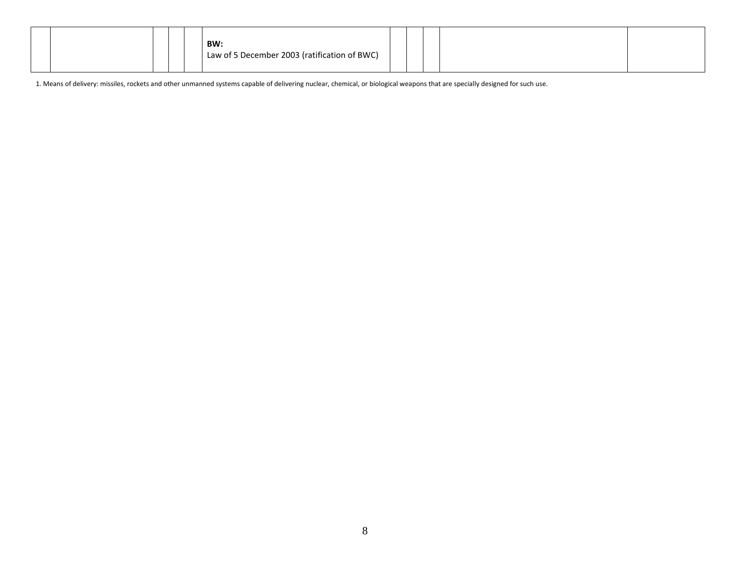| BW:<br>Law of 5 December 2003 (ratification of BWC) |  |  |  |  |
|-----------------------------------------------------|--|--|--|--|
|-----------------------------------------------------|--|--|--|--|

1. Means of delivery: missiles, rockets and other unmanned systems capable of delivering nuclear, chemical, or biological weapons that are specially designed for such use.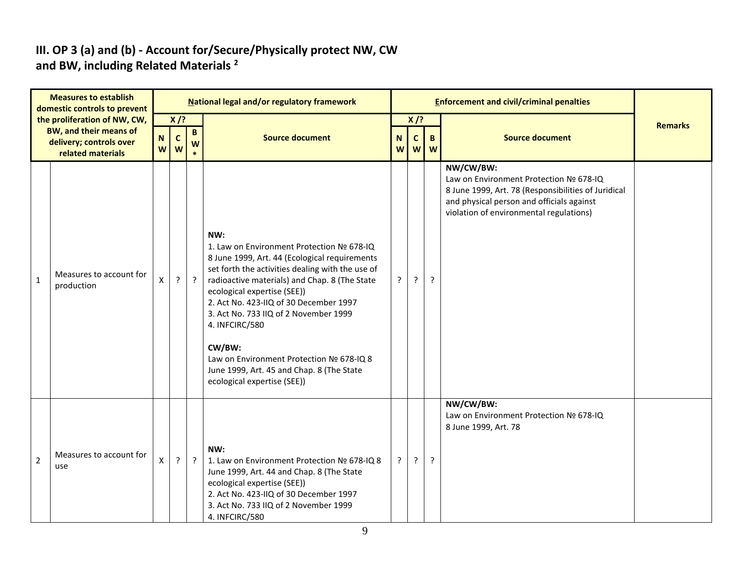#### **III. OP 3 (a) and (b) - Account for/Secure/Physically protect NW, CW and BW, including Related Materials <sup>2</sup>**

| <b>Measures to establish</b><br>domestic controls to prevent |                                                                                                               | National legal and/or regulatory framework |                                                                              |                |                                                                                                                                                                                                                                                                                                                                                                                                                                                                               |                                                         |         | <b>Enforcement and civil/criminal penalties</b> |                                                                                                                                                                                                    |  |  |  |
|--------------------------------------------------------------|---------------------------------------------------------------------------------------------------------------|--------------------------------------------|------------------------------------------------------------------------------|----------------|-------------------------------------------------------------------------------------------------------------------------------------------------------------------------------------------------------------------------------------------------------------------------------------------------------------------------------------------------------------------------------------------------------------------------------------------------------------------------------|---------------------------------------------------------|---------|-------------------------------------------------|----------------------------------------------------------------------------------------------------------------------------------------------------------------------------------------------------|--|--|--|
|                                                              | the proliferation of NW, CW,<br><b>BW, and their means of</b><br>delivery; controls over<br>related materials | $\boldsymbol{\mathsf{N}}$<br>W             | $X$ /?<br>$\overline{B}$<br>$\mathbf{C}$<br><b>Source document</b><br>W<br>W |                | N<br>W                                                                                                                                                                                                                                                                                                                                                                                                                                                                        | $X$ /?<br>$\mathbf{C}$<br>$\mathbf{B}$<br><b>W</b><br>W |         | <b>Source document</b>                          | <b>Remarks</b>                                                                                                                                                                                     |  |  |  |
| $\mathbf{1}$                                                 | Measures to account for<br>production                                                                         | X                                          | $\cdot$                                                                      | $\overline{?}$ | NW:<br>1. Law on Environment Protection № 678-IQ<br>8 June 1999, Art. 44 (Ecological requirements<br>set forth the activities dealing with the use of<br>radioactive materials) and Chap. 8 (The State<br>ecological expertise (SEE))<br>2. Act No. 423-IIQ of 30 December 1997<br>3. Act No. 733 IIQ of 2 November 1999<br>4. INFCIRC/580<br>CW/BW:<br>Law on Environment Protection Nº 678-IQ 8<br>June 1999, Art. 45 and Chap. 8 (The State<br>ecological expertise (SEE)) | $\cdot$                                                 | $\cdot$ | ?                                               | NW/CW/BW:<br>Law on Environment Protection № 678-IQ<br>8 June 1999, Art. 78 (Responsibilities of Juridical<br>and physical person and officials against<br>violation of environmental regulations) |  |  |  |
| $\overline{2}$                                               | Measures to account for<br>use                                                                                | X                                          | $\cdot$                                                                      | $\ddot{?}$     | NW:<br>1. Law on Environment Protection № 678-IQ 8<br>June 1999, Art. 44 and Chap. 8 (The State<br>ecological expertise (SEE))<br>2. Act No. 423-IIQ of 30 December 1997<br>3. Act No. 733 IIQ of 2 November 1999<br>4. INFCIRC/580                                                                                                                                                                                                                                           | $\cdot$                                                 | $\cdot$ | ?                                               | NW/CW/BW:<br>Law on Environment Protection № 678-IQ<br>8 June 1999, Art. 78                                                                                                                        |  |  |  |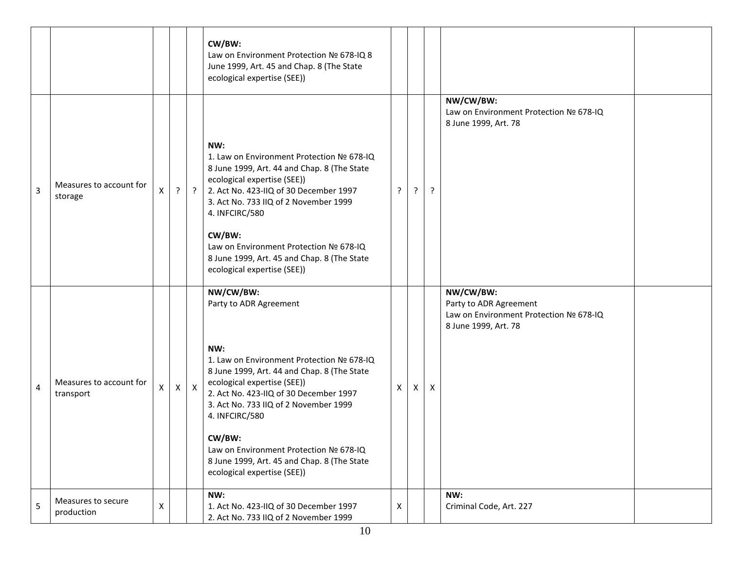|                |                                      |   |         |            | CW/BW:<br>Law on Environment Protection № 678-IQ 8<br>June 1999, Art. 45 and Chap. 8 (The State<br>ecological expertise (SEE))                                                                                                      |   |              |         |                                                                                                       |  |
|----------------|--------------------------------------|---|---------|------------|-------------------------------------------------------------------------------------------------------------------------------------------------------------------------------------------------------------------------------------|---|--------------|---------|-------------------------------------------------------------------------------------------------------|--|
|                |                                      |   |         |            |                                                                                                                                                                                                                                     |   |              |         | NW/CW/BW:<br>Law on Environment Protection № 678-IQ<br>8 June 1999, Art. 78                           |  |
| $\overline{3}$ | Measures to account for<br>storage   | X | $\cdot$ | $\ddot{?}$ | NW:<br>1. Law on Environment Protection № 678-IQ<br>8 June 1999, Art. 44 and Chap. 8 (The State<br>ecological expertise (SEE))<br>2. Act No. 423-IIQ of 30 December 1997<br>3. Act No. 733 IIQ of 2 November 1999<br>4. INFCIRC/580 | ? | $\cdot$      | $\cdot$ |                                                                                                       |  |
|                |                                      |   |         |            | CW/BW:<br>Law on Environment Protection № 678-IQ<br>8 June 1999, Art. 45 and Chap. 8 (The State<br>ecological expertise (SEE))                                                                                                      |   |              |         |                                                                                                       |  |
|                |                                      |   |         |            | NW/CW/BW:<br>Party to ADR Agreement                                                                                                                                                                                                 |   |              |         | NW/CW/BW:<br>Party to ADR Agreement<br>Law on Environment Protection № 678-IQ<br>8 June 1999, Art. 78 |  |
| 4              | Measures to account for<br>transport | X |         | $x \mid x$ | NW:<br>1. Law on Environment Protection № 678-IQ<br>8 June 1999, Art. 44 and Chap. 8 (The State<br>ecological expertise (SEE))<br>2. Act No. 423-IIQ of 30 December 1997<br>3. Act No. 733 IIQ of 2 November 1999<br>4. INFCIRC/580 | X | $\mathsf{X}$ | X       |                                                                                                       |  |
|                |                                      |   |         |            | CW/BW:<br>Law on Environment Protection № 678-IQ<br>8 June 1999, Art. 45 and Chap. 8 (The State<br>ecological expertise (SEE))                                                                                                      |   |              |         |                                                                                                       |  |
| 5              | Measures to secure<br>production     | X |         |            | NW:<br>1. Act No. 423-IIQ of 30 December 1997<br>2. Act No. 733 IIQ of 2 November 1999                                                                                                                                              | Х |              |         | NW:<br>Criminal Code, Art. 227                                                                        |  |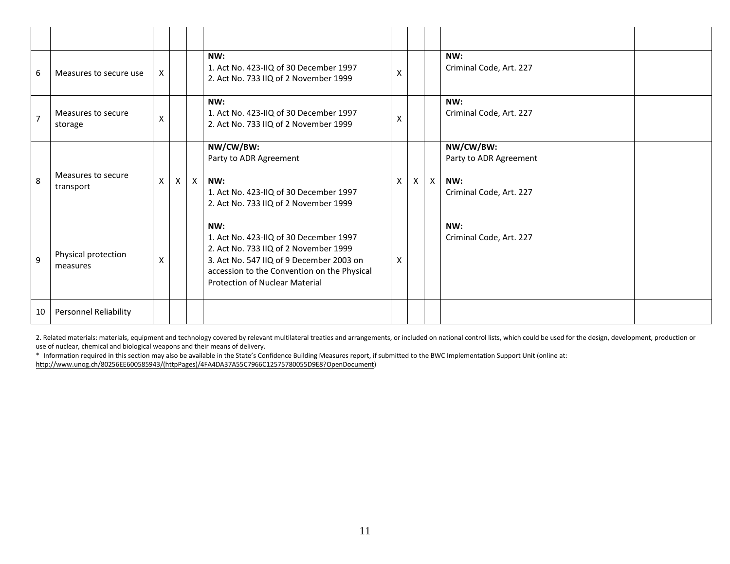| 6              | Measures to secure use          | X |              |          | NW:<br>1. Act No. 423-IIQ of 30 December 1997<br>2. Act No. 733 IIQ of 2 November 1999                                                                                                                                     | X |   |              | NW:<br>Criminal Code, Art. 227                                        |  |
|----------------|---------------------------------|---|--------------|----------|----------------------------------------------------------------------------------------------------------------------------------------------------------------------------------------------------------------------------|---|---|--------------|-----------------------------------------------------------------------|--|
| $\overline{7}$ | Measures to secure<br>storage   | X |              |          | NW:<br>1. Act No. 423-IIQ of 30 December 1997<br>2. Act No. 733 IIQ of 2 November 1999                                                                                                                                     | X |   |              | NW:<br>Criminal Code, Art. 227                                        |  |
| 8              | Measures to secure<br>transport | X | $\mathsf{X}$ | $\times$ | NW/CW/BW:<br>Party to ADR Agreement<br>NW:<br>1. Act No. 423-IIQ of 30 December 1997<br>2. Act No. 733 IIQ of 2 November 1999                                                                                              | X | X | $\mathsf{X}$ | NW/CW/BW:<br>Party to ADR Agreement<br>NW:<br>Criminal Code, Art. 227 |  |
| 9              | Physical protection<br>measures | Χ |              |          | NW:<br>1. Act No. 423-IIQ of 30 December 1997<br>2. Act No. 733 IIQ of 2 November 1999<br>3. Act No. 547 IIQ of 9 December 2003 on<br>accession to the Convention on the Physical<br><b>Protection of Nuclear Material</b> | X |   |              | NW:<br>Criminal Code, Art. 227                                        |  |
| 10             | Personnel Reliability           |   |              |          |                                                                                                                                                                                                                            |   |   |              |                                                                       |  |

2. Related materials: materials, equipment and technology covered by relevant multilateral treaties and arrangements, or included on national control lists, which could be used for the design, development, production or use of nuclear, chemical and biological weapons and their means of delivery.

\* Information required in this section may also be available in the State's Confidence Building Measures report, if submitted to the BWC Implementation Support Unit (online at:

[http://www.unog.ch/80256EE600585943/\(httpPages\)/4FA4DA37A55C7966C12575780055D9E8?OpenDocument\)](http://www.unog.ch/80256EE600585943/(httpPages)/4FA4DA37A55C7966C12575780055D9E8?OpenDocument)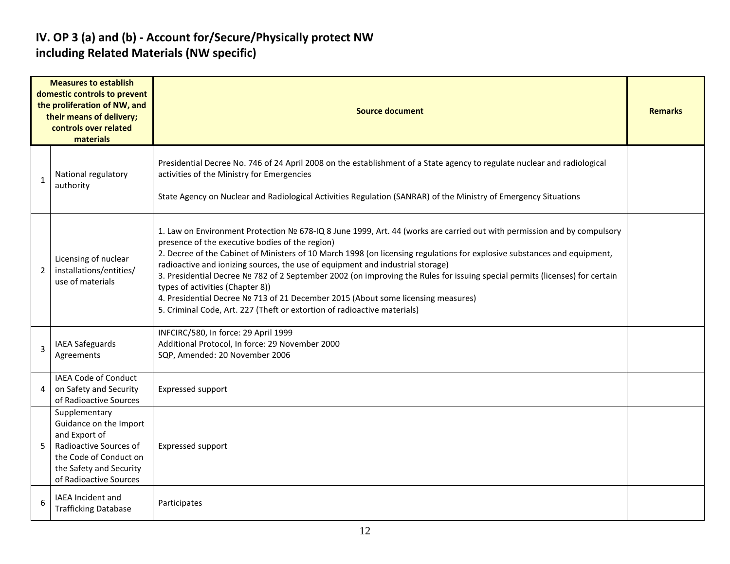#### **IV. OP 3 (a) and (b) - Account for/Secure/Physically protect NW including Related Materials (NW specific)**

| <b>Measures to establish</b><br>domestic controls to prevent<br>the proliferation of NW, and<br>their means of delivery;<br>controls over related<br>materials |                                                                                                                                                                   | <b>Source document</b>                                                                                                                                                                                                                                                                                                                                                                                                                                                                                                                                                                                                                                                                                                      |  |  |  |  |  |  |  |  |
|----------------------------------------------------------------------------------------------------------------------------------------------------------------|-------------------------------------------------------------------------------------------------------------------------------------------------------------------|-----------------------------------------------------------------------------------------------------------------------------------------------------------------------------------------------------------------------------------------------------------------------------------------------------------------------------------------------------------------------------------------------------------------------------------------------------------------------------------------------------------------------------------------------------------------------------------------------------------------------------------------------------------------------------------------------------------------------------|--|--|--|--|--|--|--|--|
| $\mathbf{1}$                                                                                                                                                   | National regulatory<br>authority                                                                                                                                  | Presidential Decree No. 746 of 24 April 2008 on the establishment of a State agency to regulate nuclear and radiological<br>activities of the Ministry for Emergencies<br>State Agency on Nuclear and Radiological Activities Regulation (SANRAR) of the Ministry of Emergency Situations                                                                                                                                                                                                                                                                                                                                                                                                                                   |  |  |  |  |  |  |  |  |
| $\overline{2}$                                                                                                                                                 | Licensing of nuclear<br>installations/entities/<br>use of materials                                                                                               | 1. Law on Environment Protection № 678-IQ 8 June 1999, Art. 44 (works are carried out with permission and by compulsory<br>presence of the executive bodies of the region)<br>2. Decree of the Cabinet of Ministers of 10 March 1998 (on licensing regulations for explosive substances and equipment,<br>radioactive and ionizing sources, the use of equipment and industrial storage)<br>3. Presidential Decree № 782 of 2 September 2002 (on improving the Rules for issuing special permits (licenses) for certain<br>types of activities (Chapter 8))<br>4. Presidential Decree № 713 of 21 December 2015 (About some licensing measures)<br>5. Criminal Code, Art. 227 (Theft or extortion of radioactive materials) |  |  |  |  |  |  |  |  |
| 3                                                                                                                                                              | <b>IAEA Safeguards</b><br>Agreements                                                                                                                              | INFCIRC/580, In force: 29 April 1999<br>Additional Protocol, In force: 29 November 2000<br>SQP, Amended: 20 November 2006                                                                                                                                                                                                                                                                                                                                                                                                                                                                                                                                                                                                   |  |  |  |  |  |  |  |  |
| 4                                                                                                                                                              | IAEA Code of Conduct<br>on Safety and Security<br>of Radioactive Sources                                                                                          | Expressed support                                                                                                                                                                                                                                                                                                                                                                                                                                                                                                                                                                                                                                                                                                           |  |  |  |  |  |  |  |  |
| 5                                                                                                                                                              | Supplementary<br>Guidance on the Import<br>and Export of<br>Radioactive Sources of<br>the Code of Conduct on<br>the Safety and Security<br>of Radioactive Sources | Expressed support                                                                                                                                                                                                                                                                                                                                                                                                                                                                                                                                                                                                                                                                                                           |  |  |  |  |  |  |  |  |
| 6                                                                                                                                                              | IAEA Incident and<br><b>Trafficking Database</b>                                                                                                                  | Participates                                                                                                                                                                                                                                                                                                                                                                                                                                                                                                                                                                                                                                                                                                                |  |  |  |  |  |  |  |  |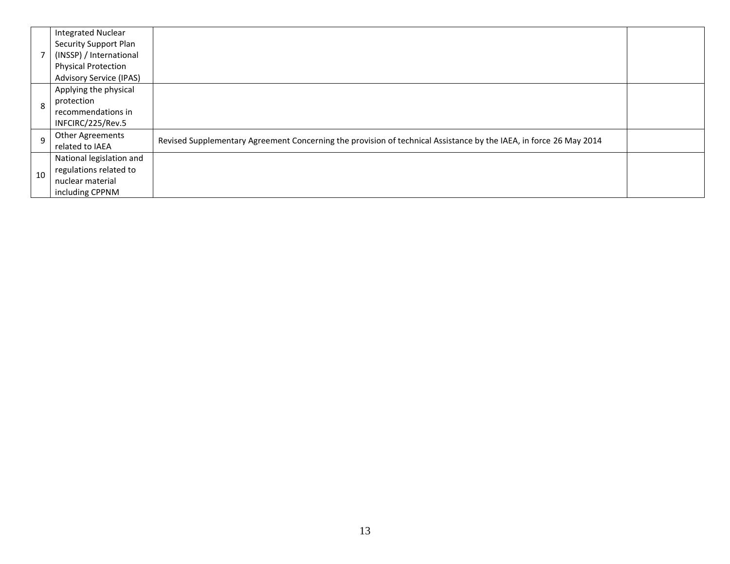|              | <b>Integrated Nuclear</b>      |                                                                                                                    |  |
|--------------|--------------------------------|--------------------------------------------------------------------------------------------------------------------|--|
|              | Security Support Plan          |                                                                                                                    |  |
|              | (INSSP) / International        |                                                                                                                    |  |
|              | <b>Physical Protection</b>     |                                                                                                                    |  |
|              | <b>Advisory Service (IPAS)</b> |                                                                                                                    |  |
|              | Applying the physical          |                                                                                                                    |  |
| 8            | protection                     |                                                                                                                    |  |
|              | recommendations in             |                                                                                                                    |  |
|              | INFCIRC/225/Rev.5              |                                                                                                                    |  |
| $\mathbf{q}$ | <b>Other Agreements</b>        | Revised Supplementary Agreement Concerning the provision of technical Assistance by the IAEA, in force 26 May 2014 |  |
|              | related to IAEA                |                                                                                                                    |  |
|              | National legislation and       |                                                                                                                    |  |
| 10           | regulations related to         |                                                                                                                    |  |
|              | nuclear material               |                                                                                                                    |  |
|              | including CPPNM                |                                                                                                                    |  |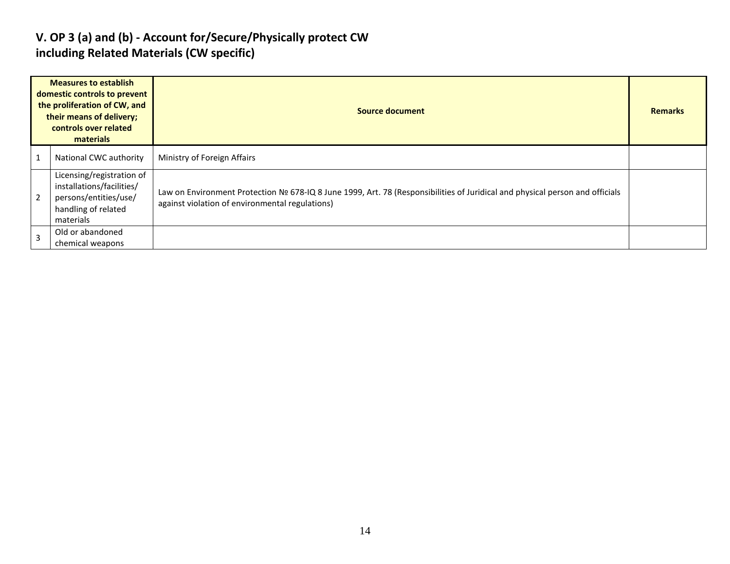#### **V. OP 3 (a) and (b) - Account for/Secure/Physically protect CW including Related Materials (CW specific)**

| <b>Measures to establish</b><br>domestic controls to prevent<br>the proliferation of CW, and<br>their means of delivery;<br>controls over related<br>materials |                                                                                                                     | <b>Source document</b>                                                                                                                                                          |  |  |  |  |  |
|----------------------------------------------------------------------------------------------------------------------------------------------------------------|---------------------------------------------------------------------------------------------------------------------|---------------------------------------------------------------------------------------------------------------------------------------------------------------------------------|--|--|--|--|--|
|                                                                                                                                                                | National CWC authority                                                                                              | Ministry of Foreign Affairs                                                                                                                                                     |  |  |  |  |  |
|                                                                                                                                                                | Licensing/registration of<br>installations/facilities/<br>persons/entities/use/<br>handling of related<br>materials | Law on Environment Protection № 678-IQ 8 June 1999, Art. 78 (Responsibilities of Juridical and physical person and officials<br>against violation of environmental regulations) |  |  |  |  |  |
|                                                                                                                                                                | Old or abandoned<br>chemical weapons                                                                                |                                                                                                                                                                                 |  |  |  |  |  |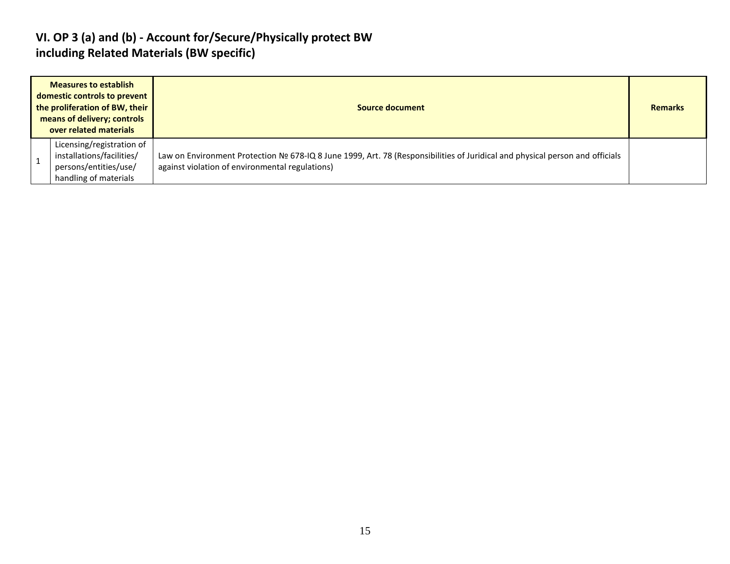#### **VI. OP 3 (a) and (b) - Account for/Secure/Physically protect BW including Related Materials (BW specific)**

| <b>Measures to establish</b><br>domestic controls to prevent<br>the proliferation of BW, their<br>means of delivery; controls<br>over related materials | Source document                                                                                                                                                                 |  |  |  |  |  |
|---------------------------------------------------------------------------------------------------------------------------------------------------------|---------------------------------------------------------------------------------------------------------------------------------------------------------------------------------|--|--|--|--|--|
| Licensing/registration of<br>installations/facilities/<br>persons/entities/use/<br>handling of materials                                                | Law on Environment Protection № 678-IQ 8 June 1999, Art. 78 (Responsibilities of Juridical and physical person and officials<br>against violation of environmental regulations) |  |  |  |  |  |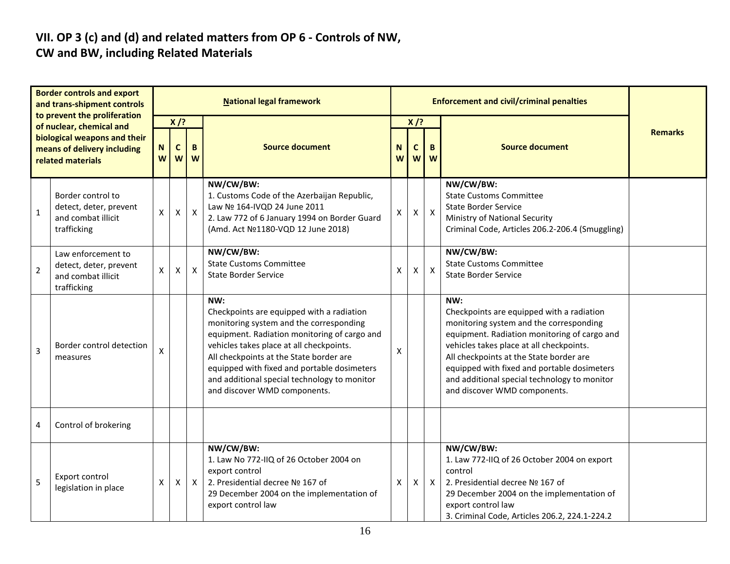#### **VII. OP 3 (c) and (d) and related matters from OP 6 - Controls of NW, CW and BW, including Related Materials**

| <b>Border controls and export</b><br>and trans-shipment controls<br>to prevent the proliferation<br>of nuclear, chemical and<br>biological weapons and their<br>means of delivery including<br>related materials |                                                                                   | <b>National legal framework</b> |                            |                           |                                                                                                                                                                                                                                                                                                                                                                   |                    | <b>Enforcement and civil/criminal penalties</b> |                           |                                                                                                                                                                                                                                                                                                                                                                   |                |  |  |
|------------------------------------------------------------------------------------------------------------------------------------------------------------------------------------------------------------------|-----------------------------------------------------------------------------------|---------------------------------|----------------------------|---------------------------|-------------------------------------------------------------------------------------------------------------------------------------------------------------------------------------------------------------------------------------------------------------------------------------------------------------------------------------------------------------------|--------------------|-------------------------------------------------|---------------------------|-------------------------------------------------------------------------------------------------------------------------------------------------------------------------------------------------------------------------------------------------------------------------------------------------------------------------------------------------------------------|----------------|--|--|
|                                                                                                                                                                                                                  |                                                                                   | ${\bf N}$<br>W                  | $X$ /?<br>$\mathbf c$<br>W | B<br>W                    | <b>Source document</b>                                                                                                                                                                                                                                                                                                                                            |                    | $X$ /?<br>N<br>C<br>B<br>W<br>W<br>W            |                           | <b>Source document</b>                                                                                                                                                                                                                                                                                                                                            | <b>Remarks</b> |  |  |
| $\mathbf{1}$                                                                                                                                                                                                     | Border control to<br>detect, deter, prevent<br>and combat illicit<br>trafficking  | X                               | $\pmb{\mathsf{X}}$         | $\pmb{\times}$            | NW/CW/BW:<br>1. Customs Code of the Azerbaijan Republic,<br>Law Nº 164-IVQD 24 June 2011<br>2. Law 772 of 6 January 1994 on Border Guard<br>(Amd. Act Nº1180-VQD 12 June 2018)                                                                                                                                                                                    | X                  | Χ                                               | $\mathsf{X}$              | NW/CW/BW:<br><b>State Customs Committee</b><br><b>State Border Service</b><br>Ministry of National Security<br>Criminal Code, Articles 206.2-206.4 (Smuggling)                                                                                                                                                                                                    |                |  |  |
| $\overline{2}$                                                                                                                                                                                                   | Law enforcement to<br>detect, deter, prevent<br>and combat illicit<br>trafficking | X                               | $\pmb{\mathsf{X}}$         | $\boldsymbol{\mathsf{X}}$ | NW/CW/BW:<br><b>State Customs Committee</b><br><b>State Border Service</b>                                                                                                                                                                                                                                                                                        | X                  | X                                               | $\boldsymbol{\mathsf{X}}$ | NW/CW/BW:<br><b>State Customs Committee</b><br><b>State Border Service</b>                                                                                                                                                                                                                                                                                        |                |  |  |
| $\overline{3}$                                                                                                                                                                                                   | Border control detection<br>measures                                              | X                               |                            |                           | NW:<br>Checkpoints are equipped with a radiation<br>monitoring system and the corresponding<br>equipment. Radiation monitoring of cargo and<br>vehicles takes place at all checkpoints.<br>All checkpoints at the State border are<br>equipped with fixed and portable dosimeters<br>and additional special technology to monitor<br>and discover WMD components. | X                  |                                                 |                           | NW:<br>Checkpoints are equipped with a radiation<br>monitoring system and the corresponding<br>equipment. Radiation monitoring of cargo and<br>vehicles takes place at all checkpoints.<br>All checkpoints at the State border are<br>equipped with fixed and portable dosimeters<br>and additional special technology to monitor<br>and discover WMD components. |                |  |  |
| 4                                                                                                                                                                                                                | Control of brokering                                                              |                                 |                            |                           |                                                                                                                                                                                                                                                                                                                                                                   |                    |                                                 |                           |                                                                                                                                                                                                                                                                                                                                                                   |                |  |  |
| 5                                                                                                                                                                                                                | Export control<br>legislation in place                                            | X                               | X                          | $\mathsf{X}$              | NW/CW/BW:<br>1. Law No 772-IIQ of 26 October 2004 on<br>export control<br>2. Presidential decree Nº 167 of<br>29 December 2004 on the implementation of<br>export control law                                                                                                                                                                                     | $\pmb{\mathsf{X}}$ | Χ                                               | $\mathsf{X}$              | NW/CW/BW:<br>1. Law 772-IIQ of 26 October 2004 on export<br>control<br>2. Presidential decree Nº 167 of<br>29 December 2004 on the implementation of<br>export control law<br>3. Criminal Code, Articles 206.2, 224.1-224.2                                                                                                                                       |                |  |  |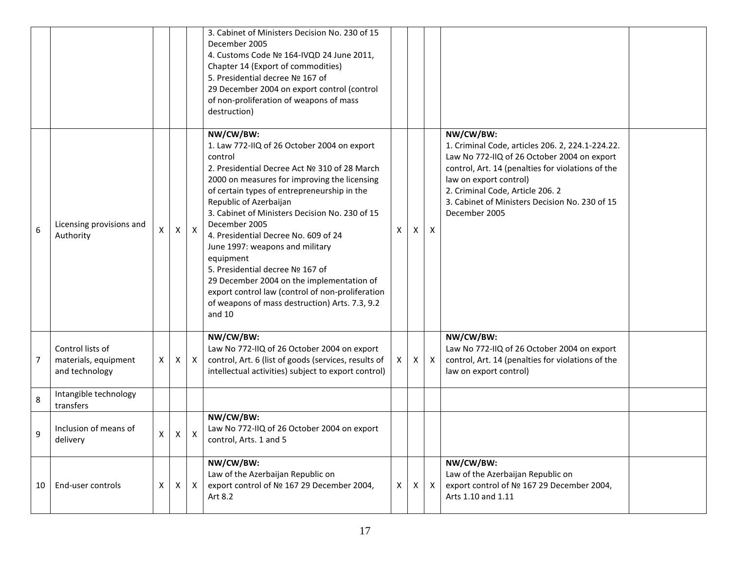|    |                                                            |   |              |                           | 3. Cabinet of Ministers Decision No. 230 of 15<br>December 2005<br>4. Customs Code Nº 164-IVQD 24 June 2011,<br>Chapter 14 (Export of commodities)<br>5. Presidential decree Nº 167 of<br>29 December 2004 on export control (control<br>of non-proliferation of weapons of mass<br>destruction)                                                                                                                                                                                                                                                                                                           |              |   |              |                                                                                                                                                                                                                                                                                                    |  |
|----|------------------------------------------------------------|---|--------------|---------------------------|------------------------------------------------------------------------------------------------------------------------------------------------------------------------------------------------------------------------------------------------------------------------------------------------------------------------------------------------------------------------------------------------------------------------------------------------------------------------------------------------------------------------------------------------------------------------------------------------------------|--------------|---|--------------|----------------------------------------------------------------------------------------------------------------------------------------------------------------------------------------------------------------------------------------------------------------------------------------------------|--|
| 6  | Licensing provisions and<br>Authority                      | X | X            | $\mathsf{X}$              | NW/CW/BW:<br>1. Law 772-IIQ of 26 October 2004 on export<br>control<br>2. Presidential Decree Act № 310 of 28 March<br>2000 on measures for improving the licensing<br>of certain types of entrepreneurship in the<br>Republic of Azerbaijan<br>3. Cabinet of Ministers Decision No. 230 of 15<br>December 2005<br>4. Presidential Decree No. 609 of 24<br>June 1997: weapons and military<br>equipment<br>5. Presidential decree Nº 167 of<br>29 December 2004 on the implementation of<br>export control law (control of non-proliferation<br>of weapons of mass destruction) Arts. 7.3, 9.2<br>and $10$ | X            | X | $\mathsf{X}$ | NW/CW/BW:<br>1. Criminal Code, articles 206. 2, 224.1-224.22.<br>Law No 772-IIQ of 26 October 2004 on export<br>control, Art. 14 (penalties for violations of the<br>law on export control)<br>2. Criminal Code, Article 206. 2<br>3. Cabinet of Ministers Decision No. 230 of 15<br>December 2005 |  |
| 7  | Control lists of<br>materials, equipment<br>and technology | X | X            | $\boldsymbol{\mathsf{X}}$ | NW/CW/BW:<br>Law No 772-IIQ of 26 October 2004 on export<br>control, Art. 6 (list of goods (services, results of<br>intellectual activities) subject to export control)                                                                                                                                                                                                                                                                                                                                                                                                                                    | $\mathsf{X}$ | X | $\mathsf{X}$ | NW/CW/BW:<br>Law No 772-IIQ of 26 October 2004 on export<br>control, Art. 14 (penalties for violations of the<br>law on export control)                                                                                                                                                            |  |
| 8  | Intangible technology<br>transfers                         |   |              |                           |                                                                                                                                                                                                                                                                                                                                                                                                                                                                                                                                                                                                            |              |   |              |                                                                                                                                                                                                                                                                                                    |  |
| 9  | Inclusion of means of<br>delivery                          | X | $\mathsf{X}$ | $\boldsymbol{\mathsf{X}}$ | NW/CW/BW:<br>Law No 772-IIQ of 26 October 2004 on export<br>control, Arts. 1 and 5                                                                                                                                                                                                                                                                                                                                                                                                                                                                                                                         |              |   |              |                                                                                                                                                                                                                                                                                                    |  |
| 10 | End-user controls                                          | X | $\times$     | $\mathsf{X}$              | NW/CW/BW:<br>Law of the Azerbaijan Republic on<br>export control of № 167 29 December 2004,<br>Art 8.2                                                                                                                                                                                                                                                                                                                                                                                                                                                                                                     | $\mathsf{X}$ | X | $\mathsf{X}$ | NW/CW/BW:<br>Law of the Azerbaijan Republic on<br>export control of № 167 29 December 2004,<br>Arts 1.10 and 1.11                                                                                                                                                                                  |  |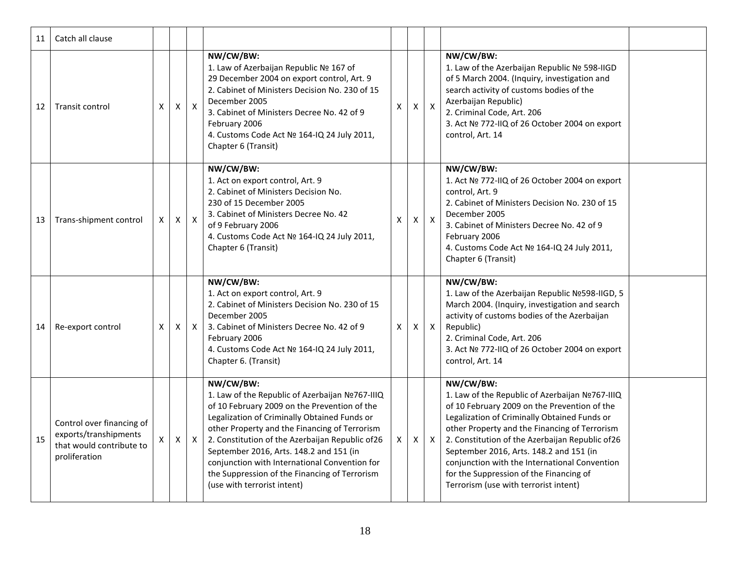| 11 | Catch all clause                                                                                |   |                |              |                                                                                                                                                                                                                                                                                                                                                                                                                                               |   |   |                           |                                                                                                                                                                                                                                                                                                                                                                                                                                                   |
|----|-------------------------------------------------------------------------------------------------|---|----------------|--------------|-----------------------------------------------------------------------------------------------------------------------------------------------------------------------------------------------------------------------------------------------------------------------------------------------------------------------------------------------------------------------------------------------------------------------------------------------|---|---|---------------------------|---------------------------------------------------------------------------------------------------------------------------------------------------------------------------------------------------------------------------------------------------------------------------------------------------------------------------------------------------------------------------------------------------------------------------------------------------|
| 12 | Transit control                                                                                 | х | $\pmb{\times}$ | $\mathsf{X}$ | NW/CW/BW:<br>1. Law of Azerbaijan Republic № 167 of<br>29 December 2004 on export control, Art. 9<br>2. Cabinet of Ministers Decision No. 230 of 15<br>December 2005<br>3. Cabinet of Ministers Decree No. 42 of 9<br>February 2006<br>4. Customs Code Act Nº 164-IQ 24 July 2011,<br>Chapter 6 (Transit)                                                                                                                                     | X | X | $\mathsf{X}$              | NW/CW/BW:<br>1. Law of the Azerbaijan Republic Nº 598-IIGD<br>of 5 March 2004. (Inquiry, investigation and<br>search activity of customs bodies of the<br>Azerbaijan Republic)<br>2. Criminal Code, Art. 206<br>3. Act Nº 772-IIQ of 26 October 2004 on export<br>control, Art. 14                                                                                                                                                                |
| 13 | Trans-shipment control                                                                          | X | $\pmb{\times}$ | $\mathsf{X}$ | NW/CW/BW:<br>1. Act on export control, Art. 9<br>2. Cabinet of Ministers Decision No.<br>230 of 15 December 2005<br>3. Cabinet of Ministers Decree No. 42<br>of 9 February 2006<br>4. Customs Code Act Nº 164-IQ 24 July 2011,<br>Chapter 6 (Transit)                                                                                                                                                                                         | X | Χ | $\boldsymbol{\mathsf{X}}$ | NW/CW/BW:<br>1. Act Nº 772-IIQ of 26 October 2004 on export<br>control, Art. 9<br>2. Cabinet of Ministers Decision No. 230 of 15<br>December 2005<br>3. Cabinet of Ministers Decree No. 42 of 9<br>February 2006<br>4. Customs Code Act Nº 164-IQ 24 July 2011,<br>Chapter 6 (Transit)                                                                                                                                                            |
| 14 | Re-export control                                                                               | X | $\mathsf{X}$   | $\mathsf{X}$ | NW/CW/BW:<br>1. Act on export control, Art. 9<br>2. Cabinet of Ministers Decision No. 230 of 15<br>December 2005<br>3. Cabinet of Ministers Decree No. 42 of 9<br>February 2006<br>4. Customs Code Act Nº 164-IQ 24 July 2011,<br>Chapter 6. (Transit)                                                                                                                                                                                        | X | X | $\mathsf{X}$              | NW/CW/BW:<br>1. Law of the Azerbaijan Republic Nº598-IIGD, 5<br>March 2004. (Inquiry, investigation and search<br>activity of customs bodies of the Azerbaijan<br>Republic)<br>2. Criminal Code, Art. 206<br>3. Act Nº 772-IIQ of 26 October 2004 on export<br>control, Art. 14                                                                                                                                                                   |
| 15 | Control over financing of<br>exports/transhipments<br>that would contribute to<br>proliferation | X | $\mathsf{X}$   | $\mathsf{X}$ | NW/CW/BW:<br>1. Law of the Republic of Azerbaijan Nº767-IIIQ<br>of 10 February 2009 on the Prevention of the<br>Legalization of Criminally Obtained Funds or<br>other Property and the Financing of Terrorism<br>2. Constitution of the Azerbaijan Republic of 26<br>September 2016, Arts. 148.2 and 151 (in<br>conjunction with International Convention for<br>the Suppression of the Financing of Terrorism<br>(use with terrorist intent) | X | X | $\mathsf{X}$              | NW/CW/BW:<br>1. Law of the Republic of Azerbaijan Nº767-IIIQ<br>of 10 February 2009 on the Prevention of the<br>Legalization of Criminally Obtained Funds or<br>other Property and the Financing of Terrorism<br>2. Constitution of the Azerbaijan Republic of 26<br>September 2016, Arts. 148.2 and 151 (in<br>conjunction with the International Convention<br>for the Suppression of the Financing of<br>Terrorism (use with terrorist intent) |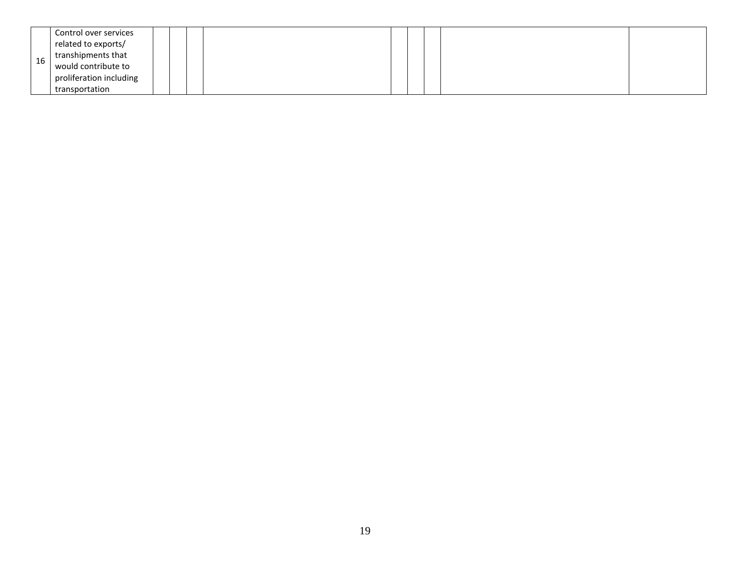|    | Control over services   |  |  |  |  |  |
|----|-------------------------|--|--|--|--|--|
|    | related to exports/     |  |  |  |  |  |
| 16 | transhipments that      |  |  |  |  |  |
|    | would contribute to     |  |  |  |  |  |
|    | proliferation including |  |  |  |  |  |
|    | transportation          |  |  |  |  |  |